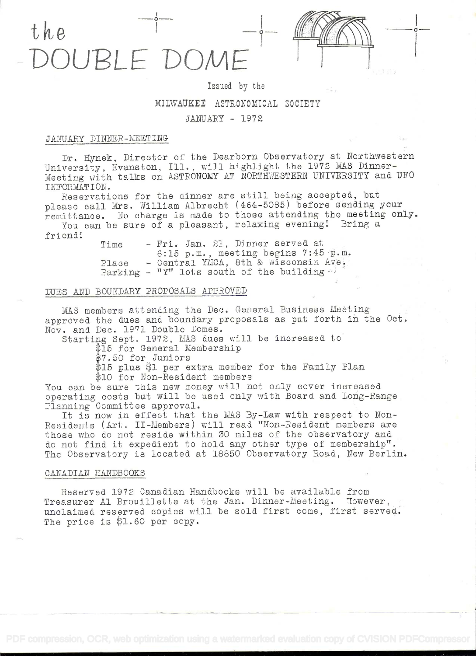



## Issued by the

# MILWAUKEE ASTRONOMICAL SOCIETY

# **JANUARY - 1972**

### JANUARY DINNER-MEETING

Dr. Hynek, Director of the Dearborn Observatory at Northwestern University, Evanston, Ill., will highlight the 1972 MAS Dinner-Meeting with talks on ASTRONOMY AT NORTHWESTERN UNIVERSITY and UFO INFORMATION.

Reservations for the dinner are still being accepted, but please call Mrs. William Albrecht (464-5085) before sending your remittance. No charge is made to those attending the meeting only.

You can be sure of a pleasant, relaxing evening! Bring a friend!

- Fri. Jan. 21, Dinner served at Time 6:15 p.m., meeting begins 7:45 p.m. - Central YMCA, 8th & Wisconsin Ave. Place Parking - "Y" lots south of the building

# DUES AND BOUNDARY PROPOSALS APPROVED

MAS members attending the Dec. General Business Meeting approved the dues and boundary proposals as put forth in the Oct. Nov. and Dec. 1971 Double Domes.

Starting Sept. 1972, MAS dues will be increased to

\$15 for General Membership

\$7.50 for Juniors

\$15 plus \$1 per extra member for the Family Plan \$10 for Non-Resident members

You can be sure this new money will not only cover increased operating costs but will be used only with Board and Long-Range Planning Committee approval.

It is now in effect that the MAS By-Law with respect to Non-Residents (Art. II-Members) will read "Non-Resident members are those who do not reside within 30 miles of the observatory and do not find it expedient to hold any other type of membership". The Observatory is located at 18850 Observatory Road, New Berlin.

### CANADIAN HANDBOOKS

Reserved 1972 Canadian Handbooks will be available from Treasurer Al Brouillette at the Jan. Dinner-Meeting. However, unclaimed reserved copies will be sold first come, first served. The price is \$1.60 per copy.